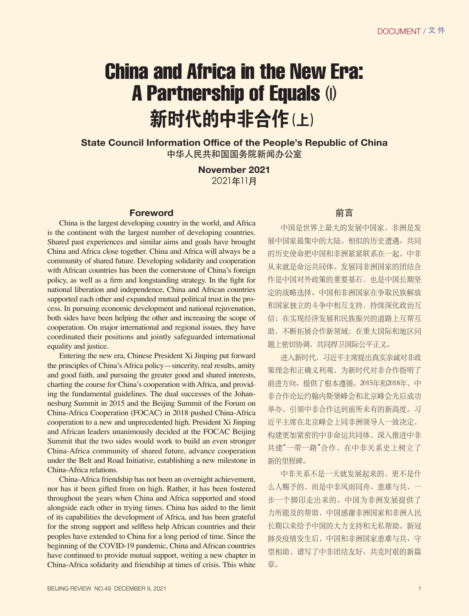# China and Africa in the New Era: A Partnership of Equals (I) 新时代的中非合作(上)

**State Council Information Office of the People's Republic of China** 中华人民共和国国务院新闻办公室

> **November 2021** 2021年11月

#### **Foreword**

China is the largest developing country in the world, and Africa is the continent with the largest number of developing countries. Shared past experiences and similar aims and goals have brought China and Africa close together. China and Africa will always be a community of shared future. Developing solidarity and cooperation with African countries has been the cornerstone of China's foreign policy, as well as a firm and longstanding strategy. In the fight for national liberation and independence, China and African countries supported each other and expanded mutual political trust in the process. In pursuing economic development and national rejuvenation, both sides have been helping the other and increasing the scope of cooperation. On major international and regional issues, they have coordinated their positions and jointly safeguarded international equality and justice.

Entering the new era, Chinese President Xi Jinping put forward the principles of China's Africa policy—sincerity, real results, amity and good faith, and pursuing the greater good and shared interests, charting the course for China's cooperation with Africa, and providing the fundamental guidelines. The dual successes of the Johannesburg Summit in 2015 and the Beijing Summit of the Forum on China-Africa Cooperation (FOCAC) in 2018 pushed China-Africa cooperation to a new and unprecedented high. President Xi Jinping and African leaders unanimously decided at the FOCAC Beijing Summit that the two sides would work to build an even stronger China-Africa community of shared future, advance cooperation under the Belt and Road Initiative, establishing a new milestone in China-Africa relations.

China-Africa friendship has not been an overnight achievement, nor has it been gifted from on high. Rather, it has been fostered throughout the years when China and Africa supported and stood alongside each other in trying times. China has aided to the limit of its capabilities the development of Africa, and has been grateful for the strong support and selfless help African countries and their peoples have extended to China for a long period of time. Since the beginning of the COVID-19 pandemic, China and African countries have continued to provide mutual support, writing a new chapter in China-Africa solidarity and friendship at times of crisis. This white

#### 前言

中国是世界上最大的发展中国家,非洲是发 展中国家最集中的大陆。相似的历史遭遇、共同 的历史使命把中国和非洲紧紧联系在一起,中非 从来就是命运共同体。发展同非洲国家的团结合 作是中国对外政策的重要基石,也是中国长期坚 定的战略选择。中国和非洲国家在争取民族解放 和国家独立的斗争中相互支持,持续深化政治互 信;在实现经济发展和民族振兴的道路上互帮互 助,不断拓展合作新领域;在重大国际和地区问 题上密切协调,共同捍卫国际公平正义。

进入新时代,习近平主席提出真实亲诚对非政 策理念和正确义利观,为新时代对非合作指明了 前进方向、提供了根本遵循。2015年和2018年,中 非合作论坛约翰内斯堡峰会和北京峰会先后成功 举办,引领中非合作达到前所未有的新高度。习 近平主席在北京峰会上同非洲领导人一致决定, 构建更加紧密的中非命运共同体,深入推进中非 共建"一带一路"合作,在中非关系史上树立了 新的里程碑。

中非关系不是一天就发展起来的,更不是什 么人赐予的,而是中非风雨同舟、患难与共,一 步一个脚印走出来的。中国为非洲发展提供了 力所能及的帮助,中国感谢非洲国家和非洲人民 长期以来给予中国的大力支持和无私帮助。新冠 肺炎疫情发生后,中国和非洲国家患难与共、守 望相助,谱写了中非团结友好、共克时艰的新篇 章。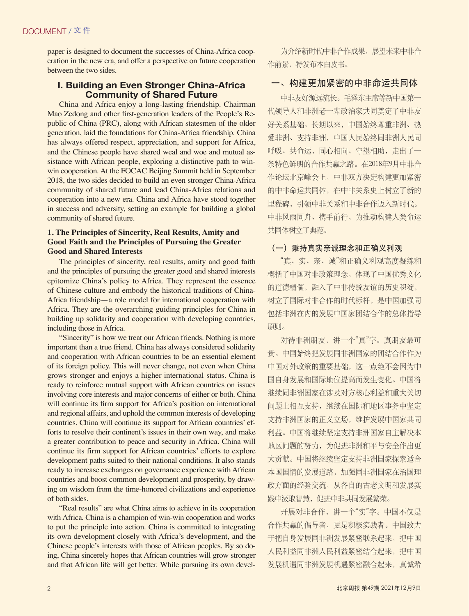paper is designed to document the successes of China-Africa cooperation in the new era, and offer a perspective on future cooperation between the two sides.

#### **I. Building an Even Stronger China-Africa Community of Shared Future**

China and Africa enjoy a long-lasting friendship. Chairman Mao Zedong and other first-generation leaders of the People's Republic of China (PRC), along with African statesmen of the older generation, laid the foundations for China-Africa friendship. China has always offered respect, appreciation, and support for Africa, and the Chinese people have shared weal and woe and mutual assistance with African people, exploring a distinctive path to winwin cooperation. At the FOCAC Beijing Summit held in September 2018, the two sides decided to build an even stronger China-Africa community of shared future and lead China-Africa relations and cooperation into a new era. China and Africa have stood together in success and adversity, setting an example for building a global community of shared future.

#### **1. The Principles of Sincerity, Real Results, Amity and Good Faith and the Principles of Pursuing the Greater Good and Shared Interests**

The principles of sincerity, real results, amity and good faith and the principles of pursuing the greater good and shared interests epitomize China's policy to Africa. They represent the essence of Chinese culture and embody the historical traditions of China-Africa friendship—a role model for international cooperation with Africa. They are the overarching guiding principles for China in building up solidarity and cooperation with developing countries, including those in Africa.

"Sincerity" is how we treat our African friends. Nothing is more important than a true friend. China has always considered solidarity and cooperation with African countries to be an essential element of its foreign policy. This will never change, not even when China grows stronger and enjoys a higher international status. China is ready to reinforce mutual support with African countries on issues involving core interests and major concerns of either or both. China will continue its firm support for Africa's position on international and regional affairs, and uphold the common interests of developing countries. China will continue its support for African countries' efforts to resolve their continent's issues in their own way, and make a greater contribution to peace and security in Africa. China will continue its firm support for African countries' efforts to explore development paths suited to their national conditions. It also stands ready to increase exchanges on governance experience with African countries and boost common development and prosperity, by drawing on wisdom from the time-honored civilizations and experience of both sides.

"Real results" are what China aims to achieve in its cooperation with Africa. China is a champion of win-win cooperation and works to put the principle into action. China is committed to integrating its own development closely with Africa's development, and the Chinese people's interests with those of African peoples. By so doing, China sincerely hopes that African countries will grow stronger and that African life will get better. While pursuing its own devel-

为介绍新时代中非合作成果,展望未来中非合 作前景,特发布本白皮书。

## 一、构建更加紧密的中非命运共同体

中非友好源远流长。毛泽东主席等新中国第一 代领导人和非洲老一辈政治家共同奠定了中非友 好关系基础。长期以来,中国始终尊重非洲、热 爱非洲、支持非洲,中国人民始终同非洲人民同 呼吸、共命运,同心相向、守望相助,走出了一 条特色鲜明的合作共赢之路。在2018年9月中非合 作论坛北京峰会上,中非双方决定构建更加紧密 的中非命运共同体,在中非关系史上树立了新的 里程碑,引领中非关系和中非合作迈入新时代。 中非风雨同舟、携手前行,为推动构建人类命运 共同体树立了典范。

### (一)秉持真实亲诚理念和正确义利观

"真、实、亲、诚"和正确义利观高度凝练和 概括了中国对非政策理念,体现了中国优秀文化 的道德精髓,融入了中非传统友谊的历史积淀, 树立了国际对非合作的时代标杆,是中国加强同 包括非洲在内的发展中国家团结合作的总体指导 原则。

对待非洲朋友,讲一个"真"字。真朋友最可 贵。中国始终把发展同非洲国家的团结合作作为 中国对外政策的重要基础,这一点绝不会因为中 国自身发展和国际地位提高而发生变化。中国将 继续同非洲国家在涉及对方核心利益和重大关切 问题上相互支持,继续在国际和地区事务中坚定 支持非洲国家的正义立场,维护发展中国家共同 利益。中国将继续坚定支持非洲国家自主解决本 地区问题的努力,为促进非洲和平与安全作出更 大贡献。中国将继续坚定支持非洲国家探索适合 本国国情的发展道路,加强同非洲国家在治国理 政方面的经验交流,从各自的古老文明和发展实 践中汲取智慧,促进中非共同发展繁荣。

开展对非合作,讲一个"实"字。中国不仅是 合作共赢的倡导者,更是积极实践者。中国致力 于把自身发展同非洲发展紧密联系起来,把中国 人民利益同非洲人民利益紧密结合起来,把中国 发展机遇同非洲发展机遇紧密融合起来,真诚希